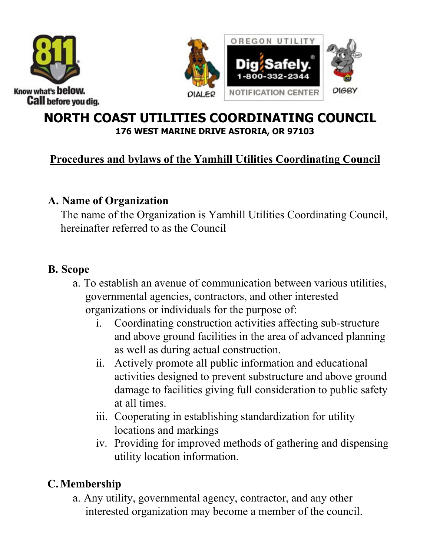



## **NORTH COAST UTILITIES COORDINATING COUNCIL 176 WEST MARINE DRIVE ASTORIA, OR 97103**

## **Procedures and bylaws of the Yamhill Utilities Coordinating Council**

### **A. Name of Organization**

The name of the Organization is Yamhill Utilities Coordinating Council, hereinafter referred to as the Council

## **B. Scope**

- a. To establish an avenue of communication between various utilities, governmental agencies, contractors, and other interested organizations or individuals for the purpose of:
	- i. Coordinating construction activities affecting sub-structure and above ground facilities in the area of advanced planning as well as during actual construction.
	- ii. Actively promote all public information and educational activities designed to prevent substructure and above ground damage to facilities giving full consideration to public safety at all times.
	- iii. Cooperating in establishing standardization for utility locations and markings
	- iv. Providing for improved methods of gathering and dispensing utility location information.

# **C.Membership**

a. Any utility, governmental agency, contractor, and any other interested organization may become a member of the council.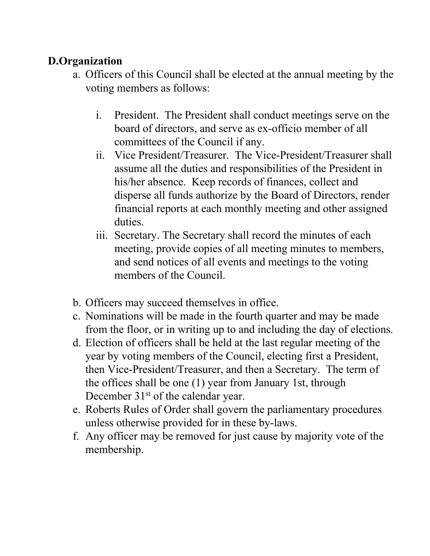## **D.Organization**

- a. Officers of this Council shall be elected at the annual meeting by the voting members as follows:
	- i. President. The President shall conduct meetings serve on the board of directors, and serve as ex-officio member of all committees of the Council if any.
	- ii. Vice President/Treasurer. The Vice-President/Treasurer shall assume all the duties and responsibilities of the President in his/her absence. Keep records of finances, collect and disperse all funds authorize by the Board of Directors, render financial reports at each monthly meeting and other assigned duties.
	- iii. Secretary. The Secretary shall record the minutes of each meeting, provide copies of all meeting minutes to members, and send notices of all events and meetings to the voting members of the Council.
- b. Officers may succeed themselves in office.
- c. Nominations will be made in the fourth quarter and may be made from the floor, or in writing up to and including the day of elections.
- d. Election of officers shall be held at the last regular meeting of the year by voting members of the Council, electing first a President, then Vice-President/Treasurer, and then a Secretary. The term of the offices shall be one (1) year from January 1st, through December 31<sup>st</sup> of the calendar year.
- e. Roberts Rules of Order shall govern the parliamentary procedures unless otherwise provided for in these by-laws.
- f. Any officer may be removed for just cause by majority vote of the membership.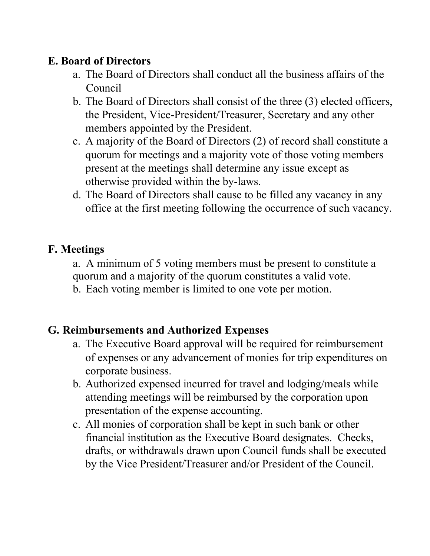### **E. Board of Directors**

- a. The Board of Directors shall conduct all the business affairs of the Council
- b. The Board of Directors shall consist of the three (3) elected officers, the President, Vice-President/Treasurer, Secretary and any other members appointed by the President.
- c. A majority of the Board of Directors (2) of record shall constitute a quorum for meetings and a majority vote of those voting members present at the meetings shall determine any issue except as otherwise provided within the by-laws.
- d. The Board of Directors shall cause to be filled any vacancy in any office at the first meeting following the occurrence of such vacancy.

#### **F. Meetings**

- a. A minimum of 5 voting members must be present to constitute a quorum and a majority of the quorum constitutes a valid vote.
- b. Each voting member is limited to one vote per motion.

### **G. Reimbursements and Authorized Expenses**

- a. The Executive Board approval will be required for reimbursement of expenses or any advancement of monies for trip expenditures on corporate business.
- b. Authorized expensed incurred for travel and lodging/meals while attending meetings will be reimbursed by the corporation upon presentation of the expense accounting.
- c. All monies of corporation shall be kept in such bank or other financial institution as the Executive Board designates. Checks, drafts, or withdrawals drawn upon Council funds shall be executed by the Vice President/Treasurer and/or President of the Council.